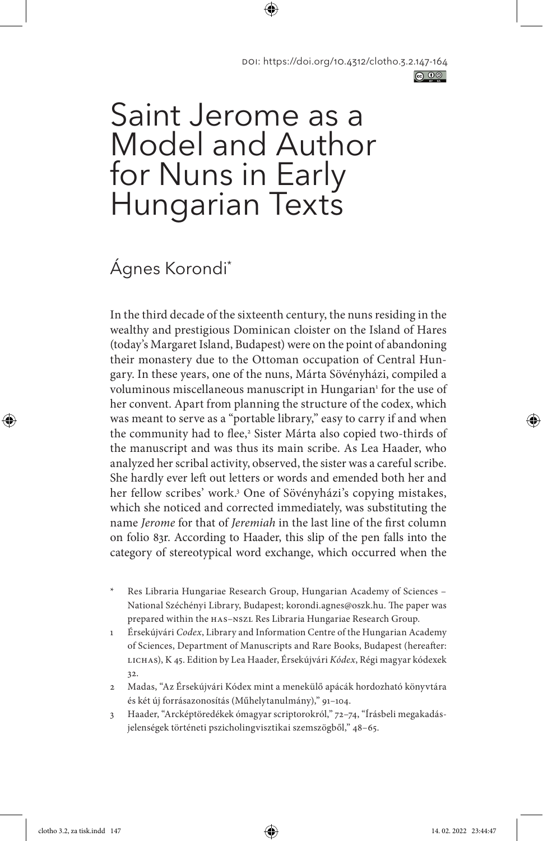# Saint Jerome as a Model and Author for Nuns in Early Hungarian Texts

## Ágnes Korondi\*

In the third decade of the sixteenth century, the nuns residing in the wealthy and prestigious Dominican cloister on the Island of Hares (today's Margaret Island, Budapest) were on the point of abandoning their monastery due to the Ottoman occupation of Central Hungary. In these years, one of the nuns, Márta Sövényházi, compiled a voluminous miscellaneous manuscript in Hungarian<sup>1</sup> for the use of her convent. Apart from planning the structure of the codex, which was meant to serve as a "portable library," easy to carry if and when the community had to flee,<sup>2</sup> Sister Márta also copied two-thirds of the manuscript and was thus its main scribe. As Lea Haader, who analyzed her scribal activity, observed, the sister was a careful scribe. She hardly ever left out letters or words and emended both her and her fellow scribes' work.3 One of Sövényházi's copying mistakes, which she noticed and corrected immediately, was substituting the name *Jerome* for that of *Jeremiah* in the last line of the first column on folio 83r. According to Haader, this slip of the pen falls into the category of stereotypical word exchange, which occurred when the

- Res Libraria Hungariae Research Group, Hungarian Academy of Sciences National Széchényi Library, Budapest; korondi.agnes@oszk.hu. The paper was prepared within the HAS–NSZL Res Libraria Hungariae Research Group.
- 1 Érsekújvári *Codex*, Library and Information Centre of the Hungarian Academy of Sciences, Department of Manuscripts and Rare Books, Budapest (hereafter: LICHAS), K 45. Edition by Lea Haader, Érsekújvári *Kódex*, Régi magyar kódexek 32.
- 2 Madas, "Az Érsekújvári Kódex mint a menekülő apácák hordozható könyvtára és két új forrásazonosítás (Műhelytanulmány)," 91–104.
- 3 Haader, "Arcképtöredékek ómagyar scriptorokról," 72–74, "Írásbeli megakadásjelenségek történeti pszicholingvisztikai szemszögből," 48–65.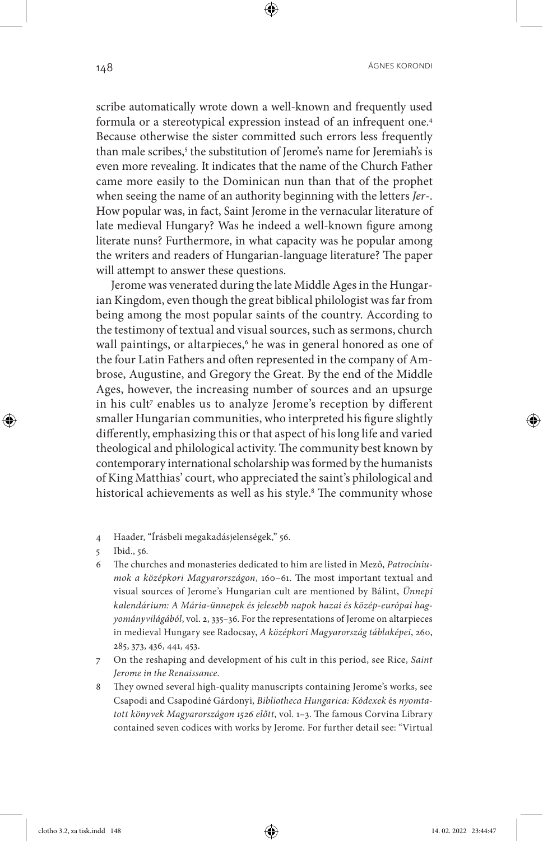scribe automatically wrote down a well-known and frequently used formula or a stereotypical expression instead of an infrequent one.4 Because otherwise the sister committed such errors less frequently than male scribes,<sup>5</sup> the substitution of Jerome's name for Jeremiah's is even more revealing. It indicates that the name of the Church Father came more easily to the Dominican nun than that of the prophet when seeing the name of an authority beginning with the letters *Jer*-. How popular was, in fact, Saint Jerome in the vernacular literature of late medieval Hungary? Was he indeed a well-known figure among literate nuns? Furthermore, in what capacity was he popular among the writers and readers of Hungarian-language literature? The paper will attempt to answer these questions.

Jerome was venerated during the late Middle Ages in the Hungarian Kingdom, even though the great biblical philologist was far from being among the most popular saints of the country. According to the testimony of textual and visual sources, such as sermons, church wall paintings, or altarpieces,<sup>6</sup> he was in general honored as one of the four Latin Fathers and often represented in the company of Ambrose, Augustine, and Gregory the Great. By the end of the Middle Ages, however, the increasing number of sources and an upsurge in his cult<sup>7</sup> enables us to analyze Jerome's reception by different smaller Hungarian communities, who interpreted his figure slightly differently, emphasizing this or that aspect of his long life and varied theological and philological activity. The community best known by contemporary international scholarship was formed by the humanists of King Matthias' court, who appreciated the saint's philological and historical achievements as well as his style.<sup>8</sup> The community whose

- 6 The churches and monasteries dedicated to him are listed in Mező, *Patrocíniumok a középkori Magyarországon*, 160–61. The most important textual and visual sources of Jerome's Hungarian cult are mentioned by Bálint, *Ünnepi kalendárium: A Mária-ünnepek és jelesebb napok hazai és közép-európai hagyományvilágából*, vol. 2, 335–36. For the representations of Jerome on altarpieces in medieval Hungary see Radocsay, *A középkori Magyarország táblaképei*, 260, 285, 373, 436, 441, 453.
- 7 On the reshaping and development of his cult in this period, see Rice, *Saint Jerome in the Renaissance*.
- 8 They owned several high-quality manuscripts containing Jerome's works, see Csapodi and Csapodiné Gárdonyi, *Bibliotheca Hungarica: Kódexek* és *nyomtatott könyvek Magyarországon 1526 előtt*, vol. 1–3. The famous Corvina Library contained seven codices with works by Jerome. For further detail see: "Virtual

<sup>4</sup> Haader, "Írásbeli megakadásjelenségek," 56.

<sup>5</sup> Ibid., 56.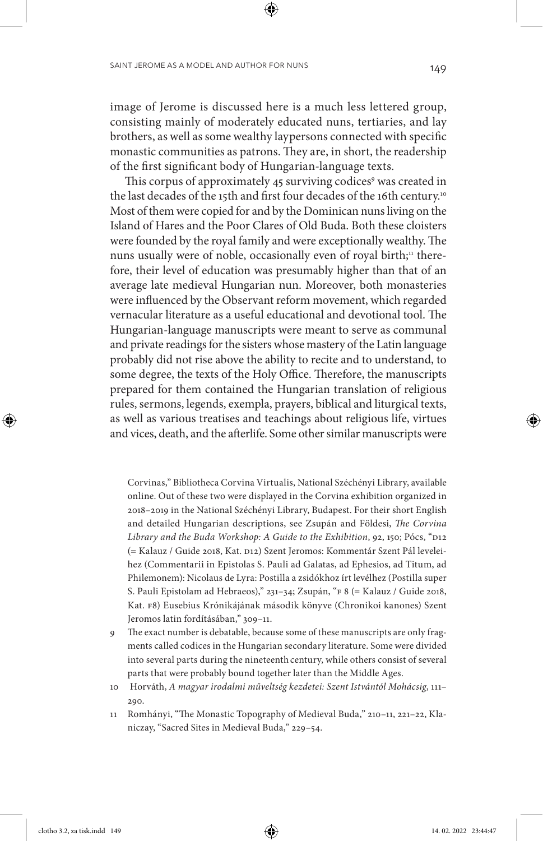image of Jerome is discussed here is a much less lettered group, consisting mainly of moderately educated nuns, tertiaries, and lay brothers, as well as some wealthy laypersons connected with specific monastic communities as patrons. They are, in short, the readership of the first significant body of Hungarian-language texts.

This corpus of approximately 45 surviving codices<sup>9</sup> was created in the last decades of the 15th and first four decades of the 16th century.<sup>10</sup> Most of them were copied for and by the Dominican nuns living on the Island of Hares and the Poor Clares of Old Buda. Both these cloisters were founded by the royal family and were exceptionally wealthy. The nuns usually were of noble, occasionally even of royal birth;<sup>11</sup> therefore, their level of education was presumably higher than that of an average late medieval Hungarian nun. Moreover, both monasteries were influenced by the Observant reform movement, which regarded vernacular literature as a useful educational and devotional tool. The Hungarian-language manuscripts were meant to serve as communal and private readings for the sisters whose mastery of the Latin language probably did not rise above the ability to recite and to understand, to some degree, the texts of the Holy Office. Therefore, the manuscripts prepared for them contained the Hungarian translation of religious rules, sermons, legends, exempla, prayers, biblical and liturgical texts, as well as various treatises and teachings about religious life, virtues and vices, death, and the afterlife. Some other similar manuscripts were

Corvinas," Bibliotheca Corvina Virtualis, National Széchényi Library, available online. Out of these two were displayed in the Corvina exhibition organized in 2018–2019 in the National Széchényi Library, Budapest. For their short English and detailed Hungarian descriptions, see Zsupán and Földesi, *The Corvina Library and the Buda Workshop: A Guide to the Exhibition*, 92, 150; Pócs, "D12 (= Kalauz / Guide 2018, Kat. D12) Szent Jeromos: Kommentár Szent Pál leveleihez (Commentarii in Epistolas S. Pauli ad Galatas, ad Ephesios, ad Titum, ad Philemonem): Nicolaus de Lyra: Postilla a zsidókhoz írt levélhez (Postilla super S. Pauli Epistolam ad Hebraeos)," 231–34; Zsupán, "F 8 (= Kalauz / Guide 2018, Kat. F8) Eusebius Krónikájának második könyve (Chronikoi kanones) Szent Jeromos latin fordításában," 309–11.

- 9 The exact number is debatable, because some of these manuscripts are only fragments called codices in the Hungarian secondary literature. Some were divided into several parts during the nineteenth century, while others consist of several parts that were probably bound together later than the Middle Ages.
- 10 Horváth, *A magyar irodalmi műveltség kezdetei: Szent Istvántól Mohácsig*, 111– 290.
- 11 Romhányi, "The Monastic Topography of Medieval Buda," 210–11, 221–22, Klaniczay, "Sacred Sites in Medieval Buda," 229–54.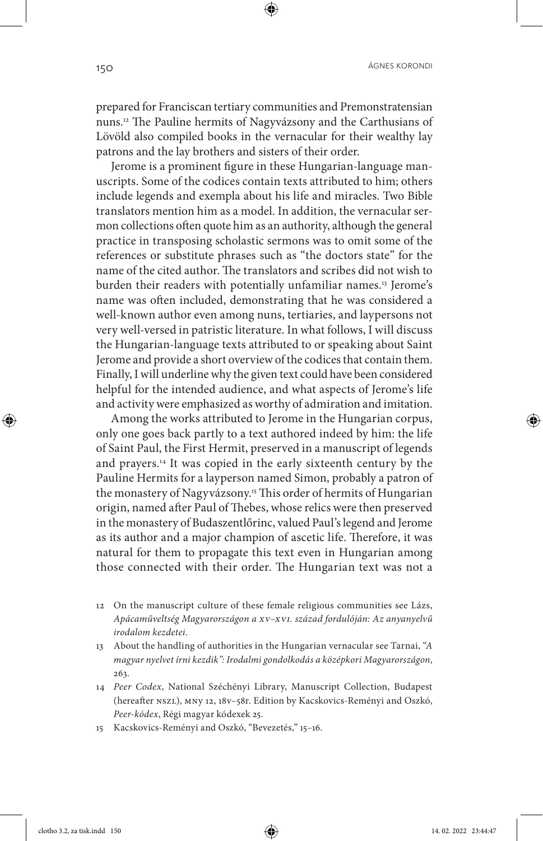ÁGNES KORONDI 150

prepared for Franciscan tertiary communities and Premonstratensian nuns.12 The Pauline hermits of Nagyvázsony and the Carthusians of Lövöld also compiled books in the vernacular for their wealthy lay patrons and the lay brothers and sisters of their order.

Jerome is a prominent figure in these Hungarian-language manuscripts. Some of the codices contain texts attributed to him; others include legends and exempla about his life and miracles. Two Bible translators mention him as a model. In addition, the vernacular sermon collections often quote him as an authority, although the general practice in transposing scholastic sermons was to omit some of the references or substitute phrases such as "the doctors state" for the name of the cited author. The translators and scribes did not wish to burden their readers with potentially unfamiliar names.<sup>13</sup> Jerome's name was often included, demonstrating that he was considered a well-known author even among nuns, tertiaries, and laypersons not very well-versed in patristic literature. In what follows, I will discuss the Hungarian-language texts attributed to or speaking about Saint Jerome and provide a short overview of the codices that contain them. Finally, I will underline why the given text could have been considered helpful for the intended audience, and what aspects of Jerome's life and activity were emphasized as worthy of admiration and imitation.

Among the works attributed to Jerome in the Hungarian corpus, only one goes back partly to a text authored indeed by him: the life of Saint Paul, the First Hermit, preserved in a manuscript of legends and prayers.14 It was copied in the early sixteenth century by the Pauline Hermits for a layperson named Simon, probably a patron of the monastery of Nagyvázsony.15 This order of hermits of Hungarian origin, named after Paul of Thebes, whose relics were then preserved in the monastery of Budaszentlőrinc, valued Paul's legend and Jerome as its author and a major champion of ascetic life. Therefore, it was natural for them to propagate this text even in Hungarian among those connected with their order. The Hungarian text was not a

- 12 On the manuscript culture of these female religious communities see Lázs, *Apácaműveltség Magyarországon a XV–XVI. század fordulóján: Az anyanyelvű irodalom kezdetei*.
- 13 About the handling of authorities in the Hungarian vernacular see Tarnai, "*A magyar nyelvet írni kezdik": Irodalmi gondolkodás a középkori Magyarországon*, 263.
- 14 *Peer Codex*, National Széchényi Library, Manuscript Collection, Budapest (hereafter NSZL), MNy 12, 18v–58r. Edition by Kacskovics-Reményi and Oszkó, *Peer-kódex*, Régi magyar kódexek 25.
- 15 Kacskovics-Reményi and Oszkó, "Bevezetés," 15–16.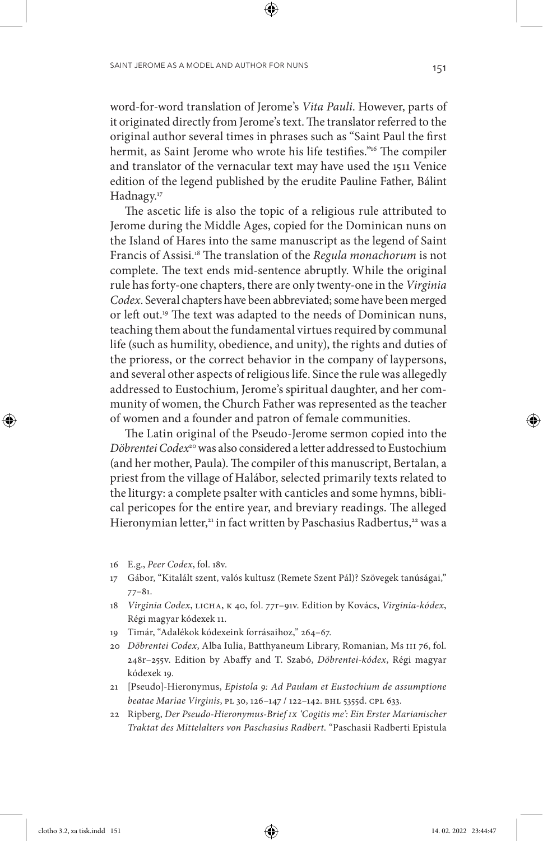word-for-word translation of Jerome's *Vita Pauli*. However, parts of it originated directly from Jerome's text. The translator referred to the original author several times in phrases such as "Saint Paul the first hermit, as Saint Jerome who wrote his life testifies."<sup>16</sup> The compiler and translator of the vernacular text may have used the 1511 Venice edition of the legend published by the erudite Pauline Father, Bálint Hadnagy.<sup>17</sup>

The ascetic life is also the topic of a religious rule attributed to Jerome during the Middle Ages, copied for the Dominican nuns on the Island of Hares into the same manuscript as the legend of Saint Francis of Assisi.18 The translation of the *Regula monachorum* is not complete. The text ends mid-sentence abruptly. While the original rule has forty-one chapters, there are only twenty-one in the *Virginia Codex*. Several chapters have been abbreviated; some have been merged or left out.19 The text was adapted to the needs of Dominican nuns, teaching them about the fundamental virtues required by communal life (such as humility, obedience, and unity), the rights and duties of the prioress, or the correct behavior in the company of laypersons, and several other aspects of religious life. Since the rule was allegedly addressed to Eustochium, Jerome's spiritual daughter, and her community of women, the Church Father was represented as the teacher of women and a founder and patron of female communities.

The Latin original of the Pseudo-Jerome sermon copied into the *Döbrentei Codex*20 was also considered a letter addressed to Eustochium (and her mother, Paula). The compiler of this manuscript, Bertalan, a priest from the village of Halábor, selected primarily texts related to the liturgy: a complete psalter with canticles and some hymns, biblical pericopes for the entire year, and breviary readings. The alleged Hieronymian letter,<sup>21</sup> in fact written by Paschasius Radbertus,<sup>22</sup> was a

- 16 E.g., *Peer Codex*, fol. 18v.
- 17 Gábor, "Kitalált szent, valós kultusz (Remete Szent Pál)? Szövegek tanúságai," 77–81.
- 18 *Virginia Codex*, LICHA, K 40, fol. 77r–91v. Edition by Kovács, *Virginia-kódex*, Régi magyar kódexek 11.
- 19 Timár, "Adalékok kódexeink forrásaihoz," 264–67.
- 20 *Döbrentei Codex*, Alba Iulia, Batthyaneum Library, Romanian, Ms III 76, fol. 248r–255v. Edition by Abaffy and T. Szabó, *Döbrentei-kódex*, Régi magyar kódexek 19.
- 21 [Pseudo]-Hieronymus, *Epistola 9: Ad Paulam et Eustochium de assumptione beatae Mariae Virginis*, PL 30, 126–147 / 122–142. BHL 5355d. CPL 633.
- 22 Ripberg, *Der Pseudo-Hieronymus-Brief IX 'Cogitis me': Ein Erster Marianischer Traktat des Mittelalters von Paschasius Radbert*. "Paschasii Radberti Epistula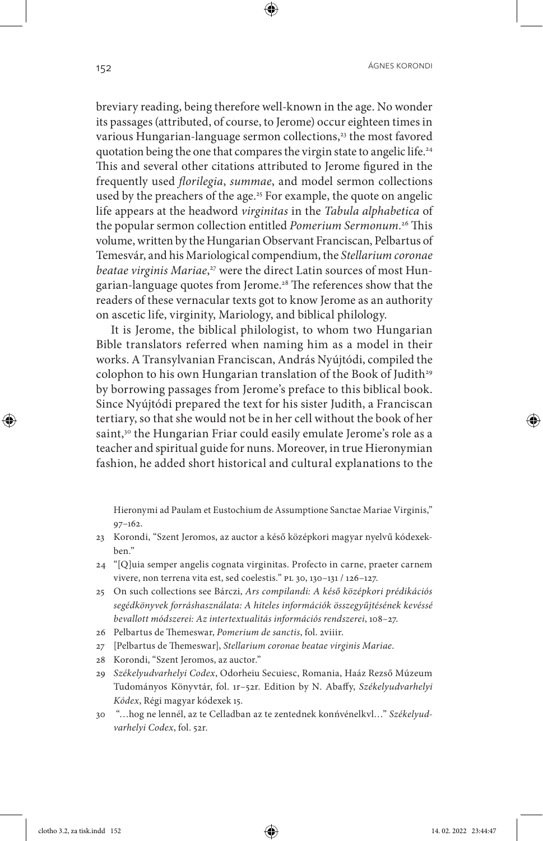breviary reading, being therefore well-known in the age. No wonder its passages (attributed, of course, to Jerome) occur eighteen times in various Hungarian-language sermon collections,<sup>23</sup> the most favored quotation being the one that compares the virgin state to angelic life.24 This and several other citations attributed to Jerome figured in the frequently used *florilegia*, *summae*, and model sermon collections used by the preachers of the age.<sup>25</sup> For example, the quote on angelic life appears at the headword *virginitas* in the *Tabula alphabetica* of the popular sermon collection entitled *Pomerium Sermonum.*<sup>26</sup> This volume, written by the Hungarian Observant Franciscan, Pelbartus of Temesvár, and his Mariological compendium, the *Stellarium coronae beatae virginis Mariae*, 27 were the direct Latin sources of most Hungarian-language quotes from Jerome.28 The references show that the readers of these vernacular texts got to know Jerome as an authority on ascetic life, virginity, Mariology, and biblical philology.

It is Jerome, the biblical philologist, to whom two Hungarian Bible translators referred when naming him as a model in their works. A Transylvanian Franciscan, András Nyújtódi, compiled the colophon to his own Hungarian translation of the Book of Judith<sup>29</sup> by borrowing passages from Jerome's preface to this biblical book. Since Nyújtódi prepared the text for his sister Judith, a Franciscan tertiary, so that she would not be in her cell without the book of her saint,<sup>30</sup> the Hungarian Friar could easily emulate Jerome's role as a teacher and spiritual guide for nuns. Moreover, in true Hieronymian fashion, he added short historical and cultural explanations to the

Hieronymi ad Paulam et Eustochium de Assumptione Sanctae Mariae Virginis," 97–162.

- 23 Korondi, "Szent Jeromos, az auctor a késő középkori magyar nyelvű kódexekben."
- 24 "[Q]uia semper angelis cognata virginitas. Profecto in carne, praeter carnem vivere, non terrena vita est, sed coelestis." PL 30, 130–131 / 126–127.
- 25 On such collections see Bárczi, *Ars compilandi: A késő középkori prédikációs segédkönyvek forráshasználata: A hiteles információk összegyűjtésének kevéssé bevallott módszerei: Az intertextualitás információs rendszerei*, 108–27.
- 26 Pelbartus de Themeswar, *Pomerium de sanctis*, fol. 2viiir.
- 27 [Pelbartus de Themeswar], *Stellarium coronae beatae virginis Mariae*.
- 28 Korondi, "Szent Jeromos, az auctor."
- 29 *Székelyudvarhelyi Codex*, Odorheiu Secuiesc, Romania, Haáz Rezső Múzeum Tudományos Könyvtár, fol. 1r–52r. Edition by N. Abaffy, *Székelyudvarhelyi Kódex*, Régi magyar kódexek 15.
- 30 "…hog ne lennél, az te Celladban az te zentednek konńvénelkvl…" *Székelyudvarhelyi Codex*, fol. 52r.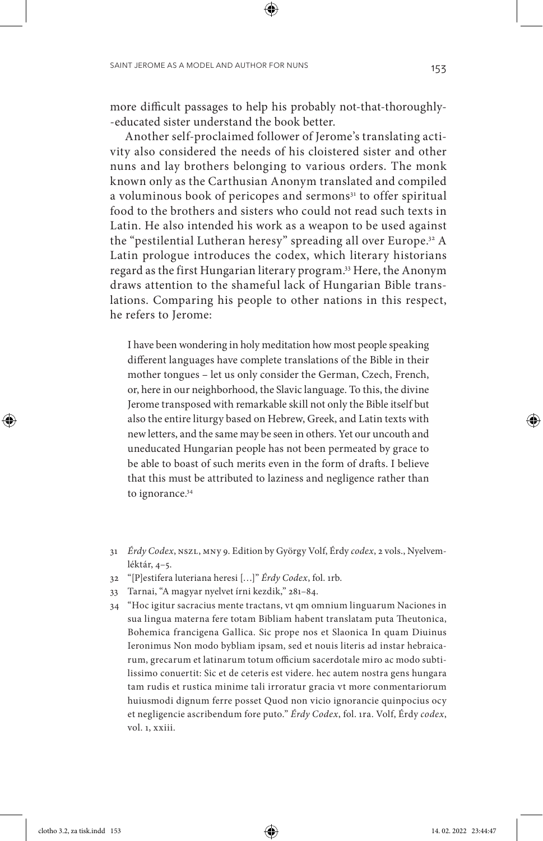more difficult passages to help his probably not-that-thoroughly- -educated sister understand the book better.

Another self-proclaimed follower of Jerome's translating activity also considered the needs of his cloistered sister and other nuns and lay brothers belonging to various orders. The monk known only as the Carthusian Anonym translated and compiled a voluminous book of pericopes and sermons<sup>31</sup> to offer spiritual food to the brothers and sisters who could not read such texts in Latin. He also intended his work as a weapon to be used against the "pestilential Lutheran heresy" spreading all over Europe.<sup>32</sup> A Latin prologue introduces the codex, which literary historians regard as the first Hungarian literary program.33 Here, the Anonym draws attention to the shameful lack of Hungarian Bible translations. Comparing his people to other nations in this respect, he refers to Jerome:

I have been wondering in holy meditation how most people speaking different languages have complete translations of the Bible in their mother tongues – let us only consider the German, Czech, French, or, here in our neighborhood, the Slavic language. To this, the divine Jerome transposed with remarkable skill not only the Bible itself but also the entire liturgy based on Hebrew, Greek, and Latin texts with new letters, and the same may be seen in others. Yet our uncouth and uneducated Hungarian people has not been permeated by grace to be able to boast of such merits even in the form of drafts. I believe that this must be attributed to laziness and negligence rather than to ignorance.<sup>34</sup>

- 31 *Érdy Codex*, NSZL, MNy 9. Edition by György Volf, Érdy *codex*, 2 vols., Nyelvemléktár, 4–5.
- 32 "[P]estifera luteriana heresi […]" *Érdy Codex*, fol. 1rb.
- 33 Tarnai, "A magyar nyelvet írni kezdik," 281–84.
- 34 "Hoc igitur sacracius mente tractans, vt qm omnium linguarum Naciones in sua lingua materna fere totam Bibliam habent translatam puta Theutonica, Bohemica francigena Gallica. Sic prope nos et Slaonica In quam Diuinus Ieronimus Non modo bybliam ipsam, sed et nouis literis ad instar hebraicarum, grecarum et latinarum totum officium sacerdotale miro ac modo subtilissimo conuertit: Sic et de ceteris est videre. hec autem nostra gens hungara tam rudis et rustica minime tali irroratur gracia vt more conmentariorum huiusmodi dignum ferre posset Quod non vicio ignorancie quinpocius ocy et negligencie ascribendum fore puto." *Érdy Codex*, fol. 1ra. Volf, Érdy *codex*, vol. 1, xxiii.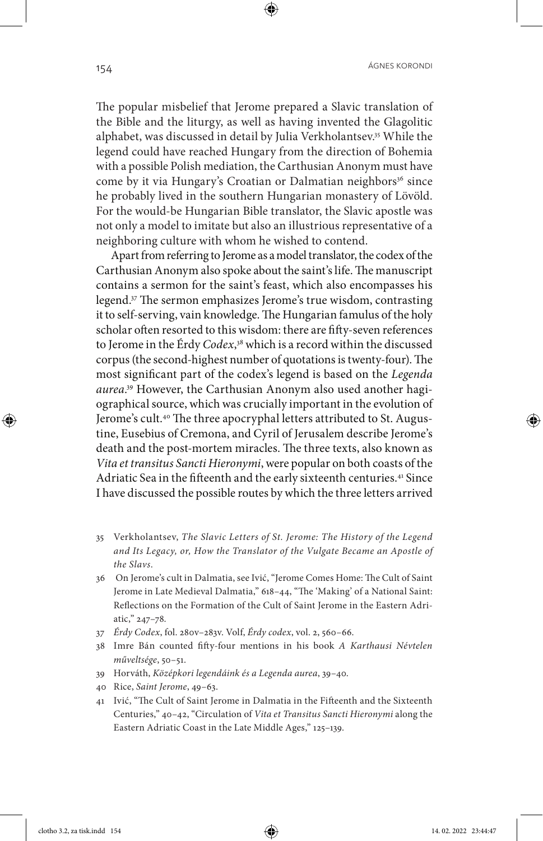The popular misbelief that Jerome prepared a Slavic translation of the Bible and the liturgy, as well as having invented the Glagolitic alphabet, was discussed in detail by Julia Verkholantsev.35 While the legend could have reached Hungary from the direction of Bohemia with a possible Polish mediation, the Carthusian Anonym must have come by it via Hungary's Croatian or Dalmatian neighbors<sup>36</sup> since he probably lived in the southern Hungarian monastery of Lövöld. For the would-be Hungarian Bible translator, the Slavic apostle was not only a model to imitate but also an illustrious representative of a neighboring culture with whom he wished to contend.

Apart from referring to Jerome as a model translator, the codex of the Carthusian Anonym also spoke about the saint's life. The manuscript contains a sermon for the saint's feast, which also encompasses his legend.37 The sermon emphasizes Jerome's true wisdom, contrasting it to self-serving, vain knowledge. The Hungarian famulus of the holy scholar often resorted to this wisdom: there are fifty-seven references to Jerome in the Érdy *Codex*, 38 which is a record within the discussed corpus (the second-highest number of quotations is twenty-four). The most significant part of the codex's legend is based on the *Legenda aurea*. 39 However, the Carthusian Anonym also used another hagiographical source, which was crucially important in the evolution of Jerome's cult.<sup>40</sup> The three apocryphal letters attributed to St. Augustine, Eusebius of Cremona, and Cyril of Jerusalem describe Jerome's death and the post-mortem miracles. The three texts, also known as *Vita et transitus Sancti Hieronymi*, were popular on both coasts of the Adriatic Sea in the fifteenth and the early sixteenth centuries.<sup>41</sup> Since I have discussed the possible routes by which the three letters arrived

- 35 Verkholantsev, *The Slavic Letters of St. Jerome: The History of the Legend and Its Legacy, or, How the Translator of the Vulgate Became an Apostle of the Slavs*.
- 36 On Jerome's cult in Dalmatia, see Ivić, "Jerome Comes Home: The Cult of Saint Jerome in Late Medieval Dalmatia," 618–44, "The 'Making' of a National Saint: Reflections on the Formation of the Cult of Saint Jerome in the Eastern Adriatic," 247–78.
- 37 *Érdy Codex*, fol. 280v–283v. Volf, *Érdy codex*, vol. 2, 560–66.
- 38 Imre Bán counted fifty-four mentions in his book *A Karthausi Névtelen műveltsége*, 50–51.
- 39 Horváth, *Középkori legendáink és a Legenda aurea*, 39–40.
- 40 Rice, *Saint Jerome*, 49–63.
- 41 Ivić, "The Cult of Saint Jerome in Dalmatia in the Fifteenth and the Sixteenth Centuries," 40–42, "Circulation of *Vita et Transitus Sancti Hieronymi* along the Eastern Adriatic Coast in the Late Middle Ages," 125–139.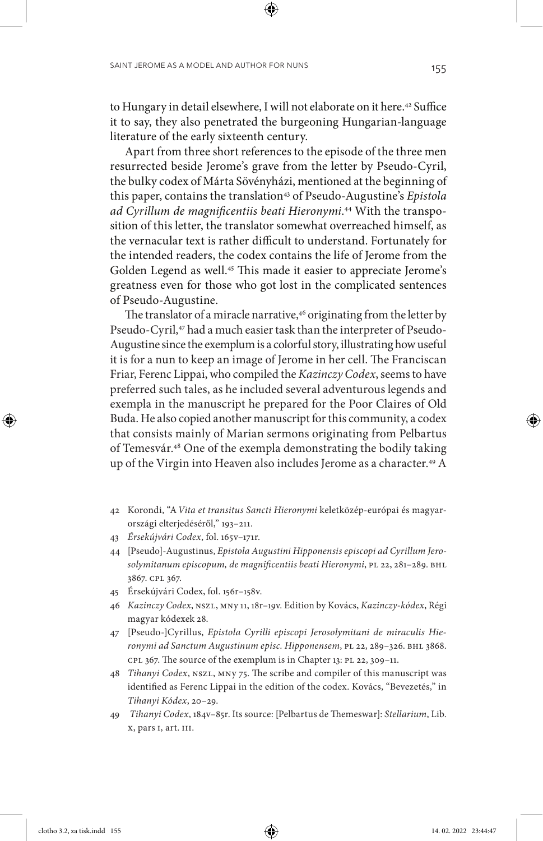to Hungary in detail elsewhere, I will not elaborate on it here.<sup>42</sup> Suffice it to say, they also penetrated the burgeoning Hungarian-language literature of the early sixteenth century.

Apart from three short references to the episode of the three men resurrected beside Jerome's grave from the letter by Pseudo-Cyril, the bulky codex of Márta Sövényházi, mentioned at the beginning of this paper, contains the translation<sup>43</sup> of Pseudo-Augustine's *Epistola ad Cyrillum de magnificentiis beati Hieronymi*. 44 With the transposition of this letter, the translator somewhat overreached himself, as the vernacular text is rather difficult to understand. Fortunately for the intended readers, the codex contains the life of Jerome from the Golden Legend as well.<sup>45</sup> This made it easier to appreciate Jerome's greatness even for those who got lost in the complicated sentences of Pseudo-Augustine.

The translator of a miracle narrative, $46$  originating from the letter by Pseudo-Cyril,<sup>47</sup> had a much easier task than the interpreter of Pseudo-Augustine since the exemplum is a colorful story, illustrating how useful it is for a nun to keep an image of Jerome in her cell. The Franciscan Friar, Ferenc Lippai, who compiled the *Kazinczy Codex*, seems to have preferred such tales, as he included several adventurous legends and exempla in the manuscript he prepared for the Poor Claires of Old Buda. He also copied another manuscript for this community, a codex that consists mainly of Marian sermons originating from Pelbartus of Temesvár.48 One of the exempla demonstrating the bodily taking up of the Virgin into Heaven also includes Jerome as a character.49 A

- 42 Korondi, "A*Vita et transitus Sancti Hieronymi* keletközép-európai és magyarországi elterjedéséről," 193–211.
- 43 *Érsekújvári Codex*, fol. 165v–171r.
- 44 [Pseudo]-Augustinus, *Epistola Augustini Hipponensis episcopi ad Cyrillum Jerosolymitanum episcopum, de magnificentiis beati Hieronymi*, PL 22, 281–289. BHL 3867. CPL 367.
- 45 Érsekújvári Codex, fol. 156r–158v.
- 46 *Kazinczy Codex*, NSZL, MNy 11, 18r–19v. Edition by Kovács, *Kazinczy-kódex*, Régi magyar kódexek 28.
- 47 [Pseudo-]Cyrillus, *Epistola Cyrilli episcopi Jerosolymitani de miraculis Hieronymi ad Sanctum Augustinum episc. Hipponensem*, PL 22, 289–326. BHL 3868. CPL 367. The source of the exemplum is in Chapter 13: PL 22, 309–11.
- 48 *Tihanyi Codex*, NSZL, MNy 75. The scribe and compiler of this manuscript was identified as Ferenc Lippai in the edition of the codex. Kovács, "Bevezetés," in *Tihanyi Kódex*, 20–29.
- 49 *Tihanyi Codex*, 184v–85r. Its source: [Pelbartus de Themeswar]: *Stellarium*, Lib. X, pars I, art. III.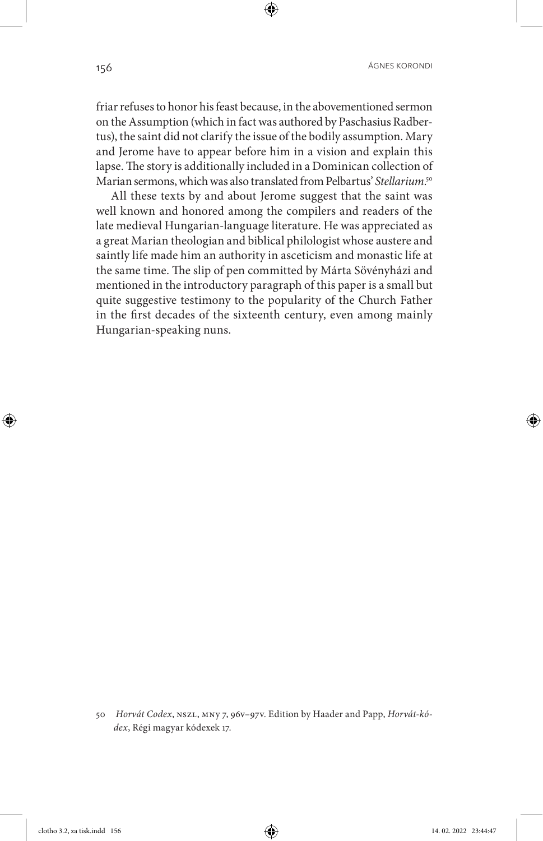friar refuses to honor his feast because, in the abovementioned sermon on the Assumption (which in fact was authored by Paschasius Radbertus), the saint did not clarify the issue of the bodily assumption. Mary and Jerome have to appear before him in a vision and explain this lapse. The story is additionally included in a Dominican collection of Marian sermons, which was also translated from Pelbartus' *Stellarium*. 50

All these texts by and about Jerome suggest that the saint was well known and honored among the compilers and readers of the late medieval Hungarian-language literature. He was appreciated as a great Marian theologian and biblical philologist whose austere and saintly life made him an authority in asceticism and monastic life at the same time. The slip of pen committed by Márta Sövényházi and mentioned in the introductory paragraph of this paper is a small but quite suggestive testimony to the popularity of the Church Father in the first decades of the sixteenth century, even among mainly Hungarian-speaking nuns.

<sup>50</sup> *Horvát Codex*, NSZL, MNy 7, 96v–97v. Edition by Haader and Papp, *Horvát-kódex*, Régi magyar kódexek 17.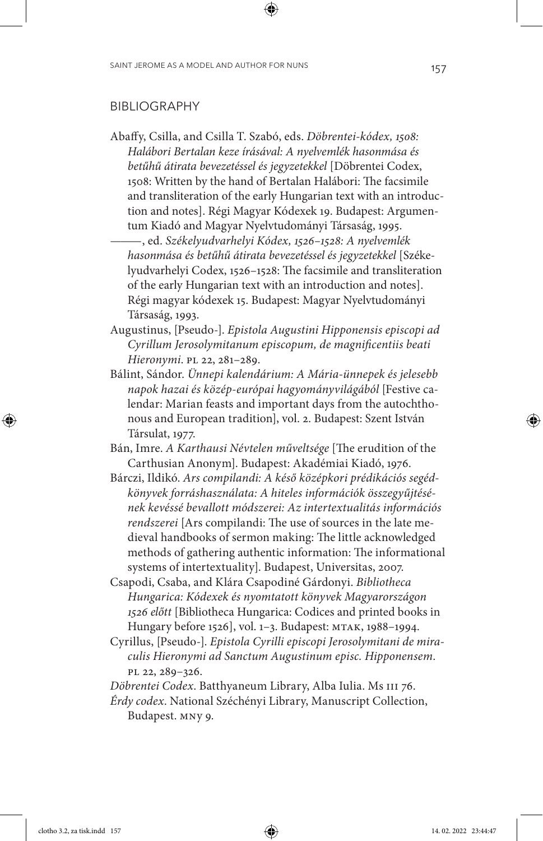#### BIBLIOGRAPHY

Abaffy, Csilla, and Csilla T. Szabó, eds. *Döbrentei-kódex, 1508: Halábori Bertalan keze írásával: A nyelvemlék hasonmása és betűhű átirata bevezetéssel és jegyzetekkel* [Döbrentei Codex, 1508: Written by the hand of Bertalan Halábori: The facsimile and transliteration of the early Hungarian text with an introduction and notes]. Régi Magyar Kódexek 19. Budapest: Argumentum Kiadó and Magyar Nyelvtudományi Társaság, 1995.

——— , ed. *Székelyudvarhelyi Kódex, 1526–1528: A nyelvemlék hasonmása és betűhű átirata bevezetéssel és jegyzetekkel* [Székelyudvarhelyi Codex, 1526–1528: The facsimile and transliteration of the early Hungarian text with an introduction and notes]. Régi magyar kódexek 15. Budapest: Magyar Nyelvtudományi Társaság, 1993.

- Augustinus, [Pseudo-]. *Epistola Augustini Hipponensis episcopi ad Cyrillum Jerosolymitanum episcopum, de magnificentiis beati Hieronymi*. PL 22, 281–289.
- Bálint, Sándor. *Ünnepi kalendárium: A Mária-ünnepek és jelesebb napok hazai és közép-európai hagyományvilágából* [Festive calendar: Marian feasts and important days from the autochthonous and European tradition], vol. 2. Budapest: Szent István Társulat, 1977.
- Bán, Imre. *A Karthausi Névtelen műveltsége* [The erudition of the Carthusian Anonym]. Budapest: Akadémiai Kiadó, 1976.
- Bárczi, Ildikó. *Ars compilandi: A késő középkori prédikációs segédkönyvek forráshasználata: A hiteles információk összegyűjtésének kevéssé bevallott módszerei: Az intertextualitás információs rendszerei* [Ars compilandi: The use of sources in the late medieval handbooks of sermon making: The little acknowledged methods of gathering authentic information: The informational systems of intertextuality]. Budapest, Universitas, 2007.
- Csapodi, Csaba, and Klára Csapodiné Gárdonyi. *Bibliotheca Hungarica: Kódexek és nyomtatott könyvek Magyarországon 1526 előtt* [Bibliotheca Hungarica: Codices and printed books in Hungary before 1526], vol. 1–3. Budapest: MTAK, 1988–1994.
- Cyrillus, [Pseudo-]. *Epistola Cyrilli episcopi Jerosolymitani de miraculis Hieronymi ad Sanctum Augustinum episc. Hipponensem*. PL 22, 289–326.

*Döbrentei Codex*. Batthyaneum Library, Alba Iulia. Ms III 76.

*Érdy codex*. National Széchényi Library, Manuscript Collection, Budapest. MNy 9.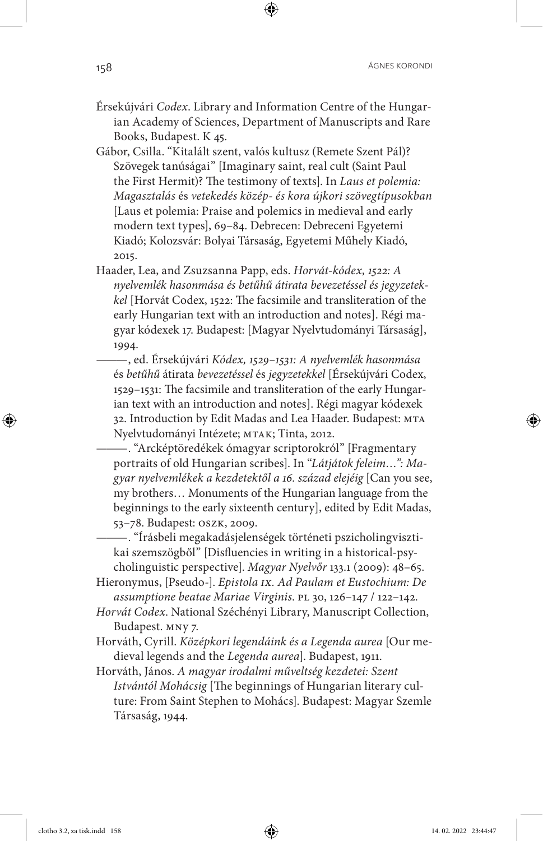- Érsekújvári *Codex*. Library and Information Centre of the Hungarian Academy of Sciences, Department of Manuscripts and Rare Books, Budapest. K 45.
- Gábor, Csilla. "Kitalált szent, valós kultusz (Remete Szent Pál)? Szövegek tanúságai" [Imaginary saint, real cult (Saint Paul the First Hermit)? The testimony of texts]. In *Laus et polemia: Magasztalás* és *vetekedés közép- és kora újkori szövegtípusokban* [Laus et polemia: Praise and polemics in medieval and early modern text types], 69–84. Debrecen: Debreceni Egyetemi Kiadó; Kolozsvár: Bolyai Társaság, Egyetemi Műhely Kiadó, 2015.
- Haader, Lea, and Zsuzsanna Papp, eds. *Horvát-kódex, 1522: A nyelvemlék hasonmása és betűhű átirata bevezetéssel és jegyzetekkel* [Horvát Codex, 1522: The facsimile and transliteration of the early Hungarian text with an introduction and notes]. Régi magyar kódexek 17. Budapest: [Magyar Nyelvtudományi Társaság], 1994.
	- ——— , ed. Érsekújvári *Kódex, 1529–1531: A nyelvemlék hasonmása*  és *betűhű* átirata *bevezetéssel* és *jegyzetekkel* [Érsekújvári Codex, 1529–1531: The facsimile and transliteration of the early Hungarian text with an introduction and notes]. Régi magyar kódexek 32. Introduction by Edit Madas and Lea Haader. Budapest: MTA Nyelvtudományi Intézete; MTAK; Tinta, 2012.
	- ——— . "Arcképtöredékek ómagyar scriptorokról" [Fragmentary portraits of old Hungarian scribes]. In "*Látjátok feleim…": Magyar nyelvemlékek a kezdetektől a 16. század elejéig* [Can you see, my brothers… Monuments of the Hungarian language from the beginnings to the early sixteenth century], edited by Edit Madas, 53–78. Budapest: OSZK, 2009.

——— . "Írásbeli megakadásjelenségek történeti pszicholingvisztikai szemszögből" [Disfluencies in writing in a historical-psycholinguistic perspective]. *Magyar Nyelvőr* 133.1 (2009): 48–65.

Hieronymus, [Pseudo-]. *Epistola IX. Ad Paulam et Eustochium: De assumptione beatae Mariae Virginis*. PL 30, 126–147 / 122–142.

- *Horvát Codex*. National Széchényi Library, Manuscript Collection, Budapest. MNy 7.
- Horváth, Cyrill. *Középkori legendáink és a Legenda aurea* [Our medieval legends and the *Legenda aurea*]. Budapest, 1911.
- Horváth, János. *A magyar irodalmi műveltség kezdetei: Szent Istvántól Mohácsig* [The beginnings of Hungarian literary culture: From Saint Stephen to Mohács]. Budapest: Magyar Szemle Társaság, 1944.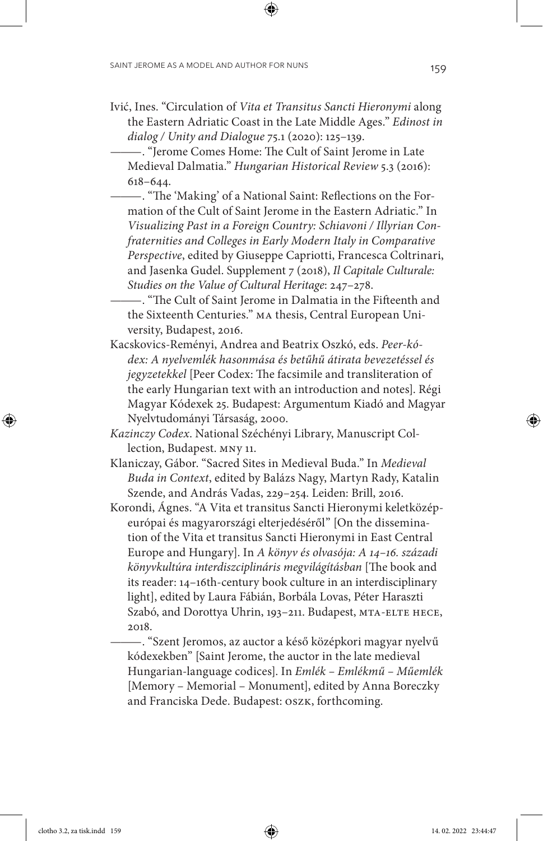Ivić, Ines. "Circulation of *Vita et Transitus Sancti Hieronymi* along the Eastern Adriatic Coast in the Late Middle Ages." *Edinost in dialog / Unity and Dialogue* 75.1 (2020): 125–139.

——— . "Jerome Comes Home: The Cult of Saint Jerome in Late Medieval Dalmatia." *Hungarian Historical Review* 5.3 (2016): 618–644.

——— . "The 'Making' of a National Saint: Reflections on the Formation of the Cult of Saint Jerome in the Eastern Adriatic." In *Visualizing Past in a Foreign Country: Schiavoni / Illyrian Confraternities and Colleges in Early Modern Italy in Comparative Perspective*, edited by Giuseppe Capriotti, Francesca Coltrinari, and Jasenka Gudel. Supplement 7 (2018), *Il Capitale Culturale: Studies on the Value of Cultural Heritage*: 247–278.

——— . "The Cult of Saint Jerome in Dalmatia in the Fifteenth and the Sixteenth Centuries." MA thesis, Central European University, Budapest, 2016.

- Kacskovics-Reményi, Andrea and Beatrix Oszkó, eds. *Peer-kódex: A nyelvemlék hasonmása és betűhű átirata bevezetéssel és jegyzetekkel* [Peer Codex: The facsimile and transliteration of the early Hungarian text with an introduction and notes]. Régi Magyar Kódexek 25. Budapest: Argumentum Kiadó and Magyar Nyelvtudományi Társaság, 2000.
- *Kazinczy Codex*. National Széchényi Library, Manuscript Collection, Budapest. MNy 11.
- Klaniczay, Gábor. "Sacred Sites in Medieval Buda." In *Medieval Buda in Context*, edited by Balázs Nagy, Martyn Rady, Katalin Szende, and András Vadas, 229–254. Leiden: Brill, 2016.
- Korondi, Ágnes. "A Vita et transitus Sancti Hieronymi keletközépeurópai és magyarországi elterjedéséről" [On the dissemination of the Vita et transitus Sancti Hieronymi in East Central Europe and Hungary]. In *A könyv és olvasója: A 14–16. századi könyvkultúra interdiszciplináris megvilágításban* [The book and its reader: 14–16th-century book culture in an interdisciplinary light], edited by Laura Fábián, Borbála Lovas, Péter Haraszti Szabó, and Dorottya Uhrin, 193–211. Budapest, MTA-ELTE HECE, 2018.

——— . "Szent Jeromos, az auctor a késő középkori magyar nyelvű kódexekben" [Saint Jerome, the auctor in the late medieval Hungarian-language codices]. In *Emlék – Emlékmű – Műemlék* [Memory – Memorial – Monument], edited by Anna Boreczky and Franciska Dede. Budapest: OSZK, forthcoming.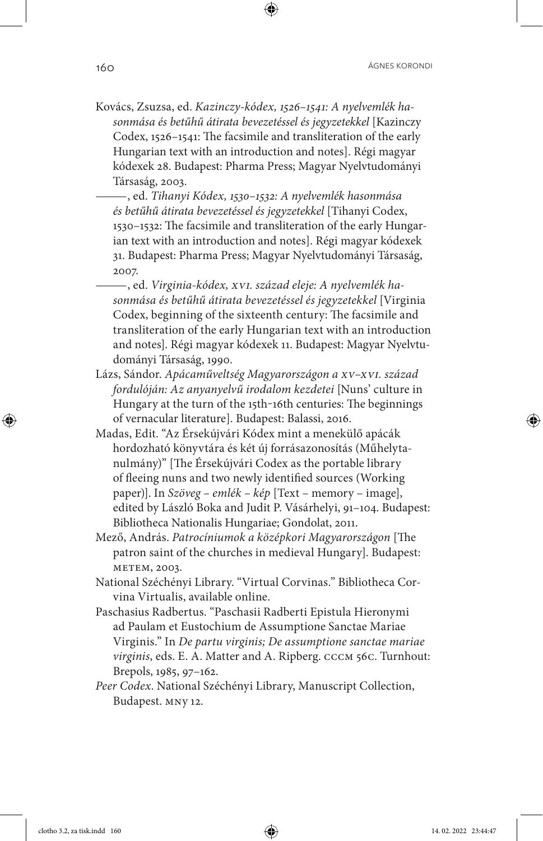- Kovács, Zsuzsa, ed. *Kazinczy-kódex, 1526–1541: A nyelvemlék hasonmása és betűhű átirata bevezetéssel és jegyzetekkel* [Kazinczy Codex, 1526–1541: The facsimile and transliteration of the early Hungarian text with an introduction and notes]. Régi magyar kódexek 28. Budapest: Pharma Press; Magyar Nyelvtudományi Társaság, 2003.
	- ——— , ed. *Tihanyi Kódex, 1530–1532: A nyelvemlék hasonmása és betűhű átirata bevezetéssel és jegyzetekkel* [Tihanyi Codex, 1530–1532: The facsimile and transliteration of the early Hungarian text with an introduction and notes]. Régi magyar kódexek 31. Budapest: Pharma Press; Magyar Nyelvtudományi Társaság, 2007.
- ——— , ed. *Virginia-kódex, XVI. század eleje: A nyelvemlék hasonmása és betűhű átirata bevezetéssel és jegyzetekkel* [Virginia Codex, beginning of the sixteenth century: The facsimile and transliteration of the early Hungarian text with an introduction and notes]. Régi magyar kódexek 11. Budapest: Magyar Nyelvtudományi Társaság, 1990.
- Lázs, Sándor. *Apácaműveltség Magyarországon a XV–XVI. század fordulóján: Az anyanyelvű irodalom kezdetei* [Nuns' culture in Hungary at the turn of the 15th-16th centuries: The beginnings of vernacular literature]. Budapest: Balassi, 2016.
- Madas, Edit. "Az Érsekújvári Kódex mint a menekülő apácák hordozható könyvtára és két új forrásazonosítás (Műhelytanulmány)" [The Érsekújvári Codex as the portable library of fleeing nuns and two newly identified sources (Working paper)]. In *Szöveg – emlék – kép* [Text – memory – image], edited by László Boka and Judit P. Vásárhelyi, 91–104. Budapest: Bibliotheca Nationalis Hungariae; Gondolat, 2011.
- Mező, András. *Patrocíniumok a középkori Magyarországon* [The patron saint of the churches in medieval Hungary]. Budapest: METEM, 2003.
- National Széchényi Library. "Virtual Corvinas." Bibliotheca Corvina Virtualis, available online.
- Paschasius Radbertus. "Paschasii Radberti Epistula Hieronymi ad Paulam et Eustochium de Assumptione Sanctae Mariae Virginis." In *De partu virginis; De assumptione sanctae mariae virginis*, eds. E. A. Matter and A. Ripberg. CCCM 56C. Turnhout: Brepols, 1985, 97–162.
- *Peer Codex*. National Széchényi Library, Manuscript Collection, Budapest. MNy 12.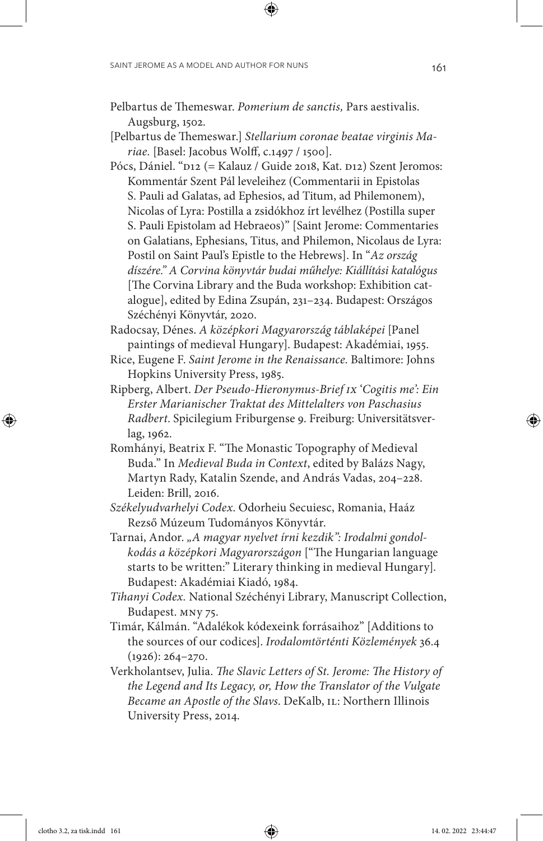- Pelbartus de Themeswar. *Pomerium de sanctis,* Pars aestivalis. Augsburg, 1502.
- [Pelbartus de Themeswar.] *Stellarium coronae beatae virginis Mariae.* [Basel: Jacobus Wolff, c.1497 / 1500].
- Pócs, Dániel. "D12 (= Kalauz / Guide 2018, Kat. D12) Szent Jeromos: Kommentár Szent Pál leveleihez (Commentarii in Epistolas S. Pauli ad Galatas, ad Ephesios, ad Titum, ad Philemonem), Nicolas of Lyra: Postilla a zsidókhoz írt levélhez (Postilla super S. Pauli Epistolam ad Hebraeos)" [Saint Jerome: Commentaries on Galatians, Ephesians, Titus, and Philemon, Nicolaus de Lyra: Postil on Saint Paul's Epistle to the Hebrews]. In "*Az ország díszére." A Corvina könyvtár budai műhelye: Kiállítási katalógus* [The Corvina Library and the Buda workshop: Exhibition catalogue], edited by Edina Zsupán, 231–234. Budapest: Országos Széchényi Könyvtár, 2020.
- Radocsay, Dénes. *A középkori Magyarország táblaképei* [Panel paintings of medieval Hungary]. Budapest: Akadémiai, 1955.
- Rice, Eugene F. *Saint Jerome in the Renaissance*. Baltimore: Johns Hopkins University Press, 1985.
- Ripberg, Albert. *Der Pseudo-Hieronymus-Brief IX* '*Cogitis me': Ein Erster Marianischer Traktat des Mittelalters von Paschasius Radbert*. Spicilegium Friburgense 9. Freiburg: Universitätsverlag, 1962.
- Romhányi, Beatrix F. "The Monastic Topography of Medieval Buda." In *Medieval Buda in Context*, edited by Balázs Nagy, Martyn Rady, Katalin Szende, and András Vadas, 204–228. Leiden: Brill, 2016.
- *Székelyudvarhelyi Codex*. Odorheiu Secuiesc, Romania, Haáz Rezső Múzeum Tudományos Könyvtár.
- Tarnai, Andor. *"A magyar nyelvet írni kezdik": Irodalmi gondolkodás a középkori Magyarországon* ["The Hungarian language starts to be written:" Literary thinking in medieval Hungary]. Budapest: Akadémiai Kiadó, 1984.
- *Tihanyi Codex.* National Széchényi Library, Manuscript Collection, Budapest. MNy 75.
- Timár, Kálmán. "Adalékok kódexeink forrásaihoz" [Additions to the sources of our codices]. *Irodalomtörténti Közlemények* 36.4 (1926): 264–270.
- Verkholantsev, Julia. *The Slavic Letters of St. Jerome: The History of the Legend and Its Legacy, or, How the Translator of the Vulgate Became an Apostle of the Slavs*. DeKalb, IL: Northern Illinois University Press, 2014.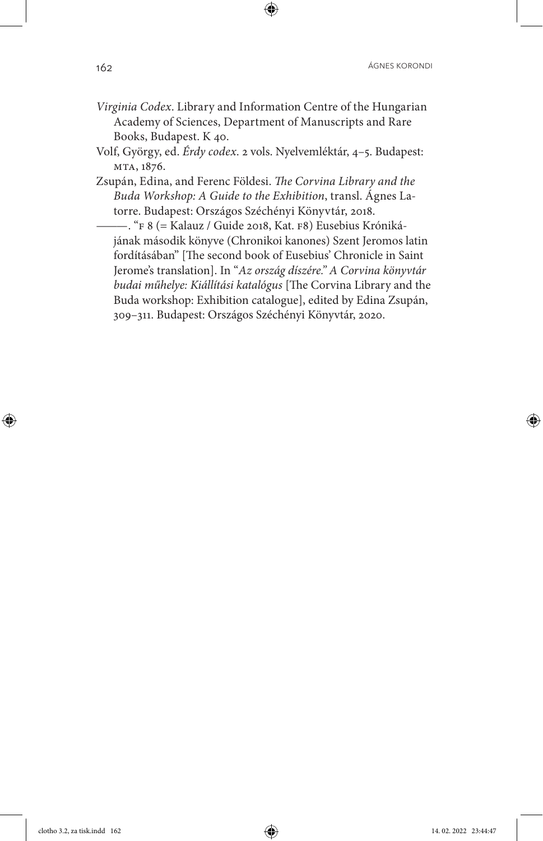- *Virginia Codex*. Library and Information Centre of the Hungarian Academy of Sciences, Department of Manuscripts and Rare Books, Budapest. K 40.
- Volf, György, ed. *Érdy codex*. 2 vols. Nyelvemléktár, 4–5. Budapest: MTA, 1876.
- Zsupán, Edina, and Ferenc Földesi. *The Corvina Library and the Buda Workshop: A Guide to the Exhibition*, transl. Ágnes Latorre. Budapest: Országos Széchényi Könyvtár, 2018.
	- ——— . "F 8 (= Kalauz / Guide 2018, Kat. F8) Eusebius Krónikájának második könyve (Chronikoi kanones) Szent Jeromos latin fordításában" [The second book of Eusebius' Chronicle in Saint Jerome's translation]. In "*Az ország díszére." A Corvina könyvtár budai műhelye: Kiállítási katalógus* [The Corvina Library and the Buda workshop: Exhibition catalogue], edited by Edina Zsupán, 309–311. Budapest: Országos Széchényi Könyvtár, 2020.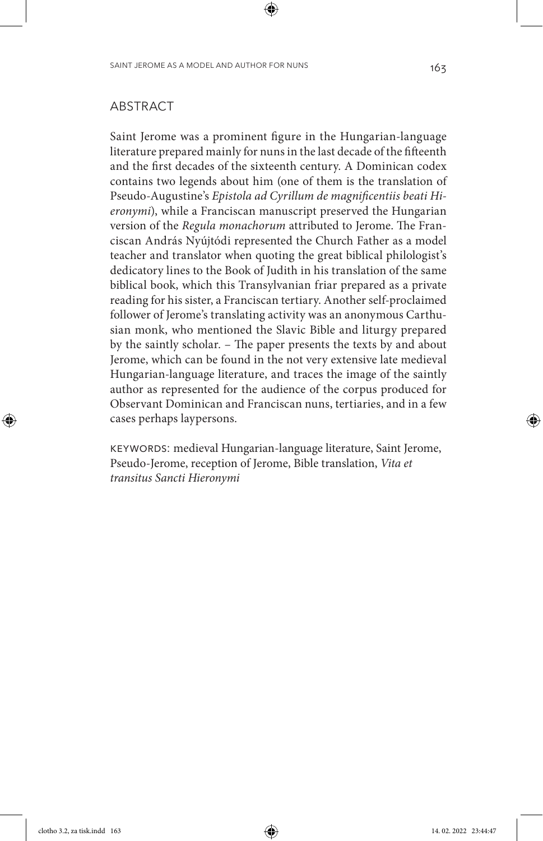#### ABSTRACT

Saint Jerome was a prominent figure in the Hungarian-language literature prepared mainly for nuns in the last decade of the fifteenth and the first decades of the sixteenth century. A Dominican codex contains two legends about him (one of them is the translation of Pseudo-Augustine's *Epistola ad Cyrillum de magnificentiis beati Hieronymi*), while a Franciscan manuscript preserved the Hungarian version of the *Regula monachorum* attributed to Jerome. The Franciscan András Nyújtódi represented the Church Father as a model teacher and translator when quoting the great biblical philologist's dedicatory lines to the Book of Judith in his translation of the same biblical book, which this Transylvanian friar prepared as a private reading for his sister, a Franciscan tertiary. Another self-proclaimed follower of Jerome's translating activity was an anonymous Carthusian monk, who mentioned the Slavic Bible and liturgy prepared by the saintly scholar. – The paper presents the texts by and about Jerome, which can be found in the not very extensive late medieval Hungarian-language literature, and traces the image of the saintly author as represented for the audience of the corpus produced for Observant Dominican and Franciscan nuns, tertiaries, and in a few cases perhaps laypersons.

KEYWORDS: medieval Hungarian-language literature, Saint Jerome, Pseudo-Jerome, reception of Jerome, Bible translation, *Vita et transitus Sancti Hieronymi*